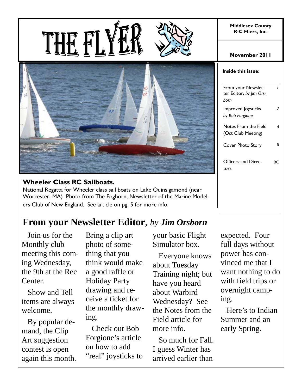**Middlesex County R-C Fliers, Inc.** 





#### **Wheeler Class RC Sailboats.**

National Regatta for Wheeler class sail boats on Lake Quinsigamond (near Worcester, MA) Photo from The Foghorn, Newsletter of the Marine Modelers Club of New England. See article on pg. 5 for more info.

# **From your Newsletter Editor**, *by Jim Orsborn*

 Join us for the Monthly club meeting this coming Wednesday, the 9th at the Rec Center.

 Show and Tell items are always welcome.

 By popular demand, the Clip Art suggestion contest is open again this month. Bring a clip art photo of something that you think would make a good raffle or Holiday Party drawing and receive a ticket for the monthly drawing.

 Check out Bob Forgione's article on how to add "real" joysticks to your basic Flight Simulator box.

 Everyone knows about Tuesday Training night; but have you heard about Warbird Wednesday? See the Notes from the Field article for more info.

 So much for Fall. I guess Winter has arrived earlier than

**November 2011** 

|  | Inside this issue: |  |
|--|--------------------|--|
|--|--------------------|--|

| From your Newslet-<br>ter Editor, by Jim Ors-<br>born |    |
|-------------------------------------------------------|----|
| Improved Joysticks<br>by Bob Forgione                 | 2  |
| Notes From the Field<br>(Oct Club Meeting)            | 4  |
| Cover Photo Story                                     | 5  |
| Officers and Direc-<br>tors                           | RС |
|                                                       |    |

expected. Four full days without power has convinced me that I want nothing to do with field trips or overnight camping.

 Here's to Indian Summer and an early Spring.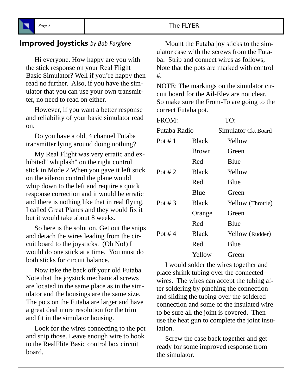#### **Improved Joysticks** *by Bob Forgione*

 Hi everyone. How happy are you with the stick response on your Real Flight Basic Simulator? Well if you're happy then read no further. Also, if you have the simulator that you can use your own transmitter, no need to read on either.

 However, if you want a better response and reliability of your basic simulator read on.

 Do you have a old, 4 channel Futaba transmitter lying around doing nothing?

 My Real Flight was very erratic and exhibited" whiplash" on the right control stick in Mode 2.When you gave it left stick on the aileron control the plane would whip down to the left and require a quick response correction and it would be erratic and there is nothing like that in real flying. I called Great Planes and they would fix it but it would take about 8 weeks.

 So here is the solution. Get out the snips and detach the wires leading from the circuit board to the joysticks. (Oh No!) I would do one stick at a time. You must do both sticks for circuit balance.

 Now take the back off your old Futaba. Note that the joystick mechanical screws are located in the same place as in the simulator and the housings are the same size. The pots on the Futaba are larger and have a great deal more resolution for the trim and fit in the simulator housing.

 Look for the wires connecting to the pot and snip those. Leave enough wire to hook to the RealFlite Basic control box circuit board.

 Mount the Futaba joy sticks to the simulator case with the screws from the Futaba. Strip and connect wires as follows; Note that the pots are marked with control #.

NOTE: The markings on the simulator circuit board for the Ail-Elev are not clear. So make sure the From-To are going to the correct Futaba pot.

| FROM:        |              | TO:    |                     |
|--------------|--------------|--------|---------------------|
| Futaba Radio |              |        | Simulator Ckt Board |
| Pot # $1$    | <b>Black</b> | Yellow |                     |
|              | <b>Brown</b> | Green  |                     |
|              | Red          | Blue   |                     |
| Pot #2       | <b>Black</b> | Yellow |                     |
|              | Red          | Blue   |                     |
|              | Blue         | Green  |                     |
| Pot # $3$    | <b>Black</b> |        | Yellow (Throttle)   |
|              | Orange       | Green  |                     |
|              | Red          | Blue   |                     |
| Pot #4       | <b>Black</b> |        | Yellow (Rudder)     |
|              | Red          | Blue   |                     |
|              | Yellow       | Green  |                     |
|              |              |        |                     |

 I would solder the wires together and place shrink tubing over the connected wires. The wires can accept the tubing after soldering by pinching the connection and sliding the tubing over the soldered connection and some of the insulated wire to be sure all the joint is covered. Then use the heat gun to complete the joint insulation.

 Screw the case back together and get ready for some improved response from the simulator.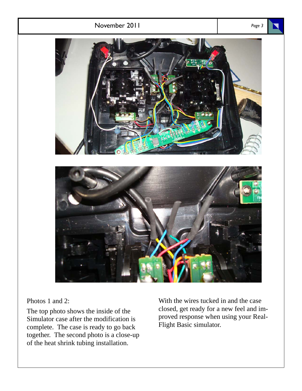

Photos 1 and 2:

The top photo shows the inside of the Simulator case after the modification is complete. The case is ready to go back together. The second photo is a close-up of the heat shrink tubing installation.

With the wires tucked in and the case closed, get ready for a new feel and improved response when using your Real-Flight Basic simulator.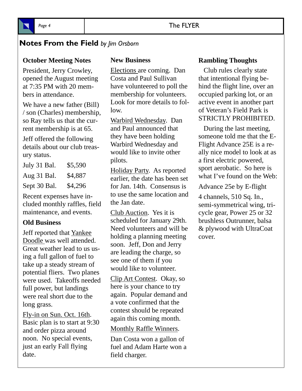## **Notes From the Field** *by Jim Orsborn*

## **October Meeting Notes**

President, Jerry Crowley, opened the August meeting at 7:35 PM with 20 members in attendance.

We have a new father (Bill) / son (Charles) membership, so Ray tells us that the current membership is at 65.

Jeff offered the following details about our club treasury status.

| July 31 Bal. | \$5,590 |
|--------------|---------|
| Aug 31 Bal.  | \$4,887 |
| Sept 30 Bal. | \$4,296 |

Recent expenses have included monthly raffles, field maintenance, and events.

#### **Old Business**

Jeff reported that Yankee Doodle was well attended. Great weather lead to us using a full gallon of fuel to take up a steady stream of potential fliers. Two planes were used. Takeoffs needed full power, but landings were real short due to the long grass.

Fly-in on Sun. Oct. 16th. Basic plan is to start at 9:30 and order pizza around noon. No special events, just an early Fall flying date.

#### **New Business**

Elections are coming. Dan Costa and Paul Sullivan have volunteered to poll the membership for volunteers. Look for more details to follow.

Warbird Wednesday. Dan and Paul announced that they have been holding Warbird Wednesday and would like to invite other pilots.

Holiday Party. As reported earlier, the date has been set for Jan. 14th. Consensus is to use the same location and the Jan date.

Club Auction. Yes it is scheduled for January 29th. Need volunteers and will be holding a planning meeting soon. Jeff, Don and Jerry are leading the charge, so see one of them if you would like to volunteer.

Clip Art Contest. Okay, so here is your chance to try again. Popular demand and a vote confirmed that the contest should be repeated again this coming month.

#### Monthly Raffle Winners.

Dan Costa won a gallon of fuel and Adam Harte won a field charger.

#### **Rambling Thoughts**

 Club rules clearly state that intentional flying behind the flight line, over an occupied parking lot, or an active event in another part of Veteran's Field Park is STRICTLY PROHIBITED.

 During the last meeting, someone told me that the E-Flight Advance 25E is a really nice model to look at as a first electric powered, sport aerobatic. So here is what I've found on the Web:

Advance 25e by E-flight

4 channels, 510 Sq. In., semi-symmetrical wing, tricycle gear, Power 25 or 32 brushless Outrunner, balsa & plywood with UltraCoat cover.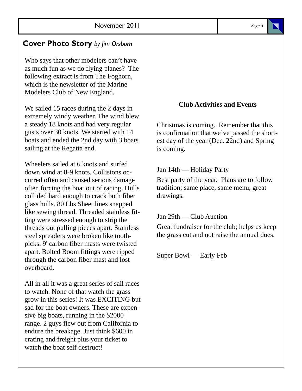### **Cover Photo Story** *by Jim Orsborn*

Who says that other modelers can't have as much fun as we do flying planes? The following extract is from The Foghorn, which is the newsletter of the Marine Modelers Club of New England.

We sailed 15 races during the 2 days in extremely windy weather. The wind blew a steady 18 knots and had very regular gusts over 30 knots. We started with 14 boats and ended the 2nd day with 3 boats sailing at the Regatta end.

Wheelers sailed at 6 knots and surfed down wind at 8-9 knots. Collisions occurred often and caused serious damage often forcing the boat out of racing. Hulls collided hard enough to crack both fiber glass hulls. 80 Lbs Sheet lines snapped like sewing thread. Threaded stainless fitting were stressed enough to strip the threads out pulling pieces apart. Stainless steel spreaders were broken like toothpicks. 9' carbon fiber masts were twisted apart. Bolted Boom fittings were ripped through the carbon fiber mast and lost overboard.

All in all it was a great series of sail races to watch. None of that watch the grass grow in this series! It was EXCITING but sad for the boat owners. These are expensive big boats, running in the \$2000 range. 2 guys flew out from California to endure the breakage. Just think \$600 in crating and freight plus your ticket to watch the boat self destruct!

#### **Club Activities and Events**

Christmas is coming. Remember that this is confirmation that we've passed the shortest day of the year (Dec. 22nd) and Spring is coming.

#### Jan 14th — Holiday Party

Best party of the year. Plans are to follow tradition; same place, same menu, great drawings.

Jan 29th — Club Auction

Great fundraiser for the club; helps us keep the grass cut and not raise the annual dues.

Super Bowl — Early Feb